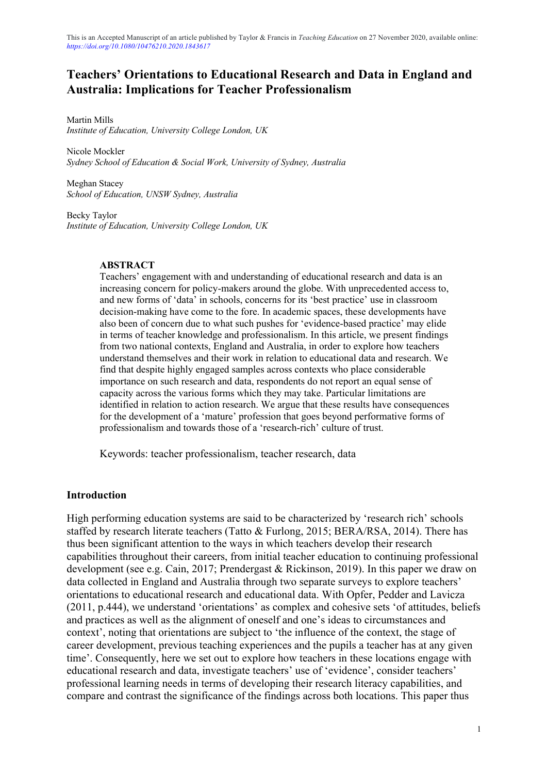# **Teachers' Orientations to Educational Research and Data in England and Australia: Implications for Teacher Professionalism**

Martin Mills *Institute of Education, University College London, UK*

Nicole Mockler *Sydney School of Education & Social Work, University of Sydney, Australia*

Meghan Stacey *School of Education, UNSW Sydney, Australia*

Becky Taylor *Institute of Education, University College London, UK*

#### **ABSTRACT**

Teachers' engagement with and understanding of educational research and data is an increasing concern for policy-makers around the globe. With unprecedented access to, and new forms of 'data' in schools, concerns for its 'best practice' use in classroom decision-making have come to the fore. In academic spaces, these developments have also been of concern due to what such pushes for 'evidence-based practice' may elide in terms of teacher knowledge and professionalism. In this article, we present findings from two national contexts, England and Australia, in order to explore how teachers understand themselves and their work in relation to educational data and research. We find that despite highly engaged samples across contexts who place considerable importance on such research and data, respondents do not report an equal sense of capacity across the various forms which they may take. Particular limitations are identified in relation to action research. We argue that these results have consequences for the development of a 'mature' profession that goes beyond performative forms of professionalism and towards those of a 'research-rich' culture of trust.

Keywords: teacher professionalism, teacher research, data

#### **Introduction**

High performing education systems are said to be characterized by 'research rich' schools staffed by research literate teachers (Tatto & Furlong, 2015; BERA/RSA, 2014). There has thus been significant attention to the ways in which teachers develop their research capabilities throughout their careers, from initial teacher education to continuing professional development (see e.g. Cain, 2017; Prendergast & Rickinson, 2019). In this paper we draw on data collected in England and Australia through two separate surveys to explore teachers' orientations to educational research and educational data. With Opfer, Pedder and Lavicza (2011, p.444), we understand 'orientations' as complex and cohesive sets 'of attitudes, beliefs and practices as well as the alignment of oneself and one's ideas to circumstances and context', noting that orientations are subject to 'the influence of the context, the stage of career development, previous teaching experiences and the pupils a teacher has at any given time'. Consequently, here we set out to explore how teachers in these locations engage with educational research and data, investigate teachers' use of 'evidence', consider teachers' professional learning needs in terms of developing their research literacy capabilities, and compare and contrast the significance of the findings across both locations. This paper thus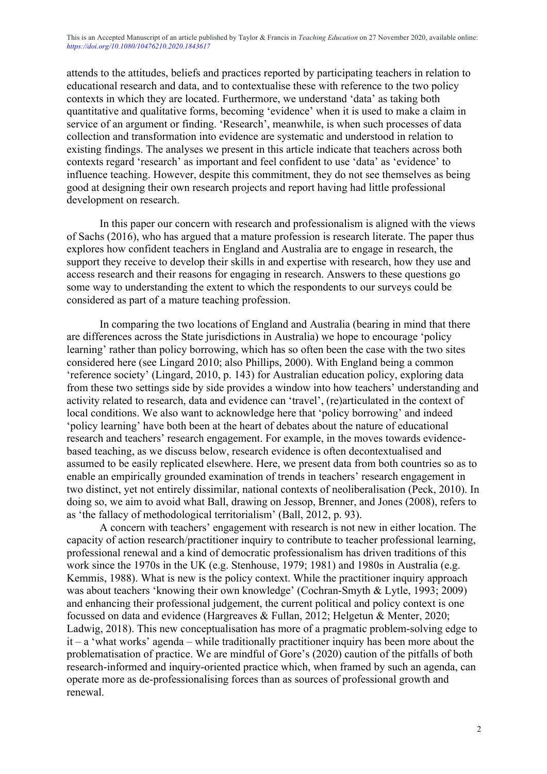attends to the attitudes, beliefs and practices reported by participating teachers in relation to educational research and data, and to contextualise these with reference to the two policy contexts in which they are located. Furthermore, we understand 'data' as taking both quantitative and qualitative forms, becoming 'evidence' when it is used to make a claim in service of an argument or finding. 'Research', meanwhile, is when such processes of data collection and transformation into evidence are systematic and understood in relation to existing findings. The analyses we present in this article indicate that teachers across both contexts regard 'research' as important and feel confident to use 'data' as 'evidence' to influence teaching. However, despite this commitment, they do not see themselves as being good at designing their own research projects and report having had little professional development on research.

In this paper our concern with research and professionalism is aligned with the views of Sachs (2016), who has argued that a mature profession is research literate. The paper thus explores how confident teachers in England and Australia are to engage in research, the support they receive to develop their skills in and expertise with research, how they use and access research and their reasons for engaging in research. Answers to these questions go some way to understanding the extent to which the respondents to our surveys could be considered as part of a mature teaching profession.

In comparing the two locations of England and Australia (bearing in mind that there are differences across the State jurisdictions in Australia) we hope to encourage 'policy learning' rather than policy borrowing, which has so often been the case with the two sites considered here (see Lingard 2010; also Phillips, 2000). With England being a common 'reference society' (Lingard, 2010, p. 143) for Australian education policy, exploring data from these two settings side by side provides a window into how teachers' understanding and activity related to research, data and evidence can 'travel', (re)articulated in the context of local conditions. We also want to acknowledge here that 'policy borrowing' and indeed 'policy learning' have both been at the heart of debates about the nature of educational research and teachers' research engagement. For example, in the moves towards evidencebased teaching, as we discuss below, research evidence is often decontextualised and assumed to be easily replicated elsewhere. Here, we present data from both countries so as to enable an empirically grounded examination of trends in teachers' research engagement in two distinct, yet not entirely dissimilar, national contexts of neoliberalisation (Peck, 2010). In doing so, we aim to avoid what Ball, drawing on Jessop, Brenner, and Jones (2008), refers to as 'the fallacy of methodological territorialism' (Ball, 2012, p. 93).

A concern with teachers' engagement with research is not new in either location. The capacity of action research/practitioner inquiry to contribute to teacher professional learning, professional renewal and a kind of democratic professionalism has driven traditions of this work since the 1970s in the UK (e.g. Stenhouse, 1979; 1981) and 1980s in Australia (e.g. Kemmis, 1988). What is new is the policy context. While the practitioner inquiry approach was about teachers 'knowing their own knowledge' (Cochran-Smyth & Lytle, 1993; 2009) and enhancing their professional judgement, the current political and policy context is one focussed on data and evidence (Hargreaves & Fullan, 2012; Helgetun & Menter, 2020; Ladwig, 2018). This new conceptualisation has more of a pragmatic problem-solving edge to  $it - a$  'what works' agenda – while traditionally practitioner inquiry has been more about the problematisation of practice. We are mindful of Gore's (2020) caution of the pitfalls of both research-informed and inquiry-oriented practice which, when framed by such an agenda, can operate more as de-professionalising forces than as sources of professional growth and renewal.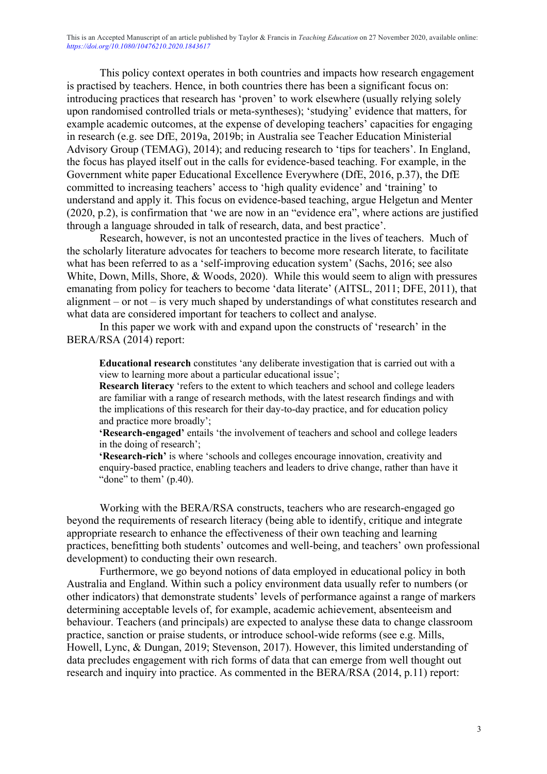This policy context operates in both countries and impacts how research engagement is practised by teachers. Hence, in both countries there has been a significant focus on: introducing practices that research has 'proven' to work elsewhere (usually relying solely upon randomised controlled trials or meta-syntheses); 'studying' evidence that matters, for example academic outcomes, at the expense of developing teachers' capacities for engaging in research (e.g. see DfE, 2019a, 2019b; in Australia see Teacher Education Ministerial Advisory Group (TEMAG), 2014); and reducing research to 'tips for teachers'. In England, the focus has played itself out in the calls for evidence-based teaching. For example, in the Government white paper Educational Excellence Everywhere (DfE, 2016, p.37), the DfE committed to increasing teachers' access to 'high quality evidence' and 'training' to understand and apply it. This focus on evidence-based teaching, argue Helgetun and Menter (2020, p.2), is confirmation that 'we are now in an "evidence era", where actions are justified through a language shrouded in talk of research, data, and best practice'.

Research, however, is not an uncontested practice in the lives of teachers. Much of the scholarly literature advocates for teachers to become more research literate, to facilitate what has been referred to as a 'self-improving education system' (Sachs, 2016; see also White, Down, Mills, Shore, & Woods, 2020). While this would seem to align with pressures emanating from policy for teachers to become 'data literate' (AITSL, 2011; DFE, 2011), that alignment – or not – is very much shaped by understandings of what constitutes research and what data are considered important for teachers to collect and analyse.

In this paper we work with and expand upon the constructs of 'research' in the BERA/RSA (2014) report:

**Educational research** constitutes 'any deliberate investigation that is carried out with a view to learning more about a particular educational issue';

**Research literacy** 'refers to the extent to which teachers and school and college leaders are familiar with a range of research methods, with the latest research findings and with the implications of this research for their day-to-day practice, and for education policy and practice more broadly';

**'Research-engaged'** entails 'the involvement of teachers and school and college leaders in the doing of research';

**'Research-rich'** is where 'schools and colleges encourage innovation, creativity and enquiry-based practice, enabling teachers and leaders to drive change, rather than have it "done" to them' (p.40).

Working with the BERA/RSA constructs, teachers who are research-engaged go beyond the requirements of research literacy (being able to identify, critique and integrate appropriate research to enhance the effectiveness of their own teaching and learning practices, benefitting both students' outcomes and well-being, and teachers' own professional development) to conducting their own research.

Furthermore, we go beyond notions of data employed in educational policy in both Australia and England. Within such a policy environment data usually refer to numbers (or other indicators) that demonstrate students' levels of performance against a range of markers determining acceptable levels of, for example, academic achievement, absenteeism and behaviour. Teachers (and principals) are expected to analyse these data to change classroom practice, sanction or praise students, or introduce school-wide reforms (see e.g. Mills, Howell, Lync, & Dungan, 2019; Stevenson, 2017). However, this limited understanding of data precludes engagement with rich forms of data that can emerge from well thought out research and inquiry into practice. As commented in the BERA/RSA (2014, p.11) report: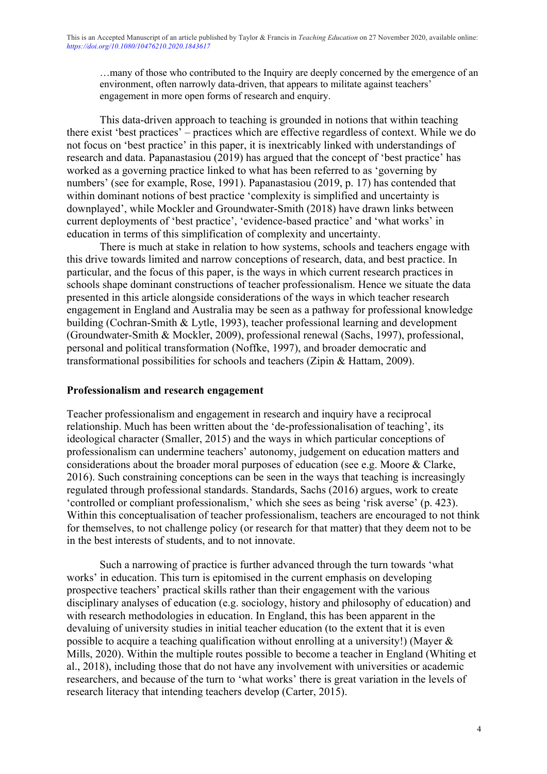…many of those who contributed to the Inquiry are deeply concerned by the emergence of an environment, often narrowly data-driven, that appears to militate against teachers' engagement in more open forms of research and enquiry.

This data-driven approach to teaching is grounded in notions that within teaching there exist 'best practices' – practices which are effective regardless of context. While we do not focus on 'best practice' in this paper, it is inextricably linked with understandings of research and data. Papanastasiou (2019) has argued that the concept of 'best practice' has worked as a governing practice linked to what has been referred to as 'governing by numbers' (see for example, Rose, 1991). Papanastasiou (2019, p. 17) has contended that within dominant notions of best practice 'complexity is simplified and uncertainty is downplayed', while Mockler and Groundwater-Smith (2018) have drawn links between current deployments of 'best practice', 'evidence-based practice' and 'what works' in education in terms of this simplification of complexity and uncertainty.

There is much at stake in relation to how systems, schools and teachers engage with this drive towards limited and narrow conceptions of research, data, and best practice. In particular, and the focus of this paper, is the ways in which current research practices in schools shape dominant constructions of teacher professionalism. Hence we situate the data presented in this article alongside considerations of the ways in which teacher research engagement in England and Australia may be seen as a pathway for professional knowledge building (Cochran-Smith & Lytle, 1993), teacher professional learning and development (Groundwater-Smith & Mockler, 2009), professional renewal (Sachs, 1997), professional, personal and political transformation (Noffke, 1997), and broader democratic and transformational possibilities for schools and teachers (Zipin & Hattam, 2009).

### **Professionalism and research engagement**

Teacher professionalism and engagement in research and inquiry have a reciprocal relationship. Much has been written about the 'de-professionalisation of teaching', its ideological character (Smaller, 2015) and the ways in which particular conceptions of professionalism can undermine teachers' autonomy, judgement on education matters and considerations about the broader moral purposes of education (see e.g. Moore & Clarke, 2016). Such constraining conceptions can be seen in the ways that teaching is increasingly regulated through professional standards. Standards, Sachs (2016) argues, work to create 'controlled or compliant professionalism,' which she sees as being 'risk averse' (p. 423). Within this conceptualisation of teacher professionalism, teachers are encouraged to not think for themselves, to not challenge policy (or research for that matter) that they deem not to be in the best interests of students, and to not innovate.

Such a narrowing of practice is further advanced through the turn towards 'what works' in education. This turn is epitomised in the current emphasis on developing prospective teachers' practical skills rather than their engagement with the various disciplinary analyses of education (e.g. sociology, history and philosophy of education) and with research methodologies in education. In England, this has been apparent in the devaluing of university studies in initial teacher education (to the extent that it is even possible to acquire a teaching qualification without enrolling at a university!) (Mayer & Mills, 2020). Within the multiple routes possible to become a teacher in England (Whiting et al., 2018), including those that do not have any involvement with universities or academic researchers, and because of the turn to 'what works' there is great variation in the levels of research literacy that intending teachers develop (Carter, 2015).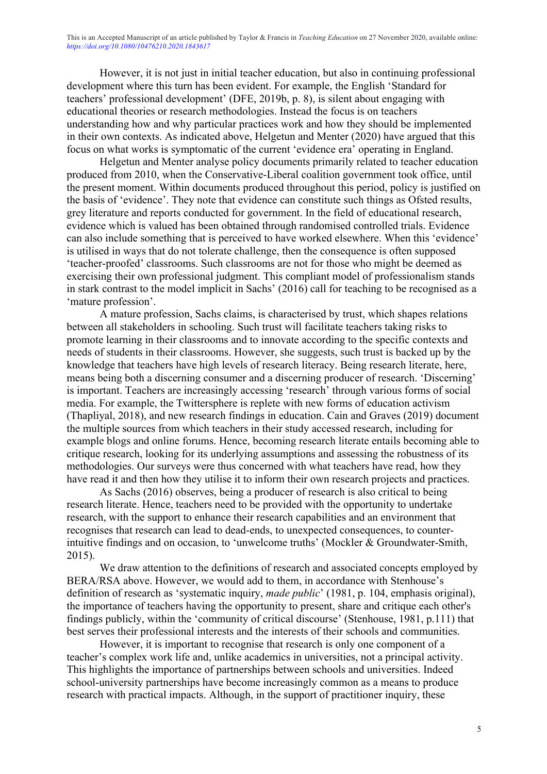However, it is not just in initial teacher education, but also in continuing professional development where this turn has been evident. For example, the English 'Standard for teachers' professional development' (DFE, 2019b, p. 8), is silent about engaging with educational theories or research methodologies. Instead the focus is on teachers understanding how and why particular practices work and how they should be implemented in their own contexts. As indicated above, Helgetun and Menter (2020) have argued that this focus on what works is symptomatic of the current 'evidence era' operating in England.

Helgetun and Menter analyse policy documents primarily related to teacher education produced from 2010, when the Conservative-Liberal coalition government took office, until the present moment. Within documents produced throughout this period, policy is justified on the basis of 'evidence'. They note that evidence can constitute such things as Ofsted results, grey literature and reports conducted for government. In the field of educational research, evidence which is valued has been obtained through randomised controlled trials. Evidence can also include something that is perceived to have worked elsewhere. When this 'evidence' is utilised in ways that do not tolerate challenge, then the consequence is often supposed 'teacher-proofed' classrooms. Such classrooms are not for those who might be deemed as exercising their own professional judgment. This compliant model of professionalism stands in stark contrast to the model implicit in Sachs' (2016) call for teaching to be recognised as a 'mature profession'.

A mature profession, Sachs claims, is characterised by trust, which shapes relations between all stakeholders in schooling. Such trust will facilitate teachers taking risks to promote learning in their classrooms and to innovate according to the specific contexts and needs of students in their classrooms. However, she suggests, such trust is backed up by the knowledge that teachers have high levels of research literacy. Being research literate, here, means being both a discerning consumer and a discerning producer of research. 'Discerning' is important. Teachers are increasingly accessing 'research' through various forms of social media. For example, the Twittersphere is replete with new forms of education activism (Thapliyal, 2018), and new research findings in education. Cain and Graves (2019) document the multiple sources from which teachers in their study accessed research, including for example blogs and online forums. Hence, becoming research literate entails becoming able to critique research, looking for its underlying assumptions and assessing the robustness of its methodologies. Our surveys were thus concerned with what teachers have read, how they have read it and then how they utilise it to inform their own research projects and practices.

As Sachs (2016) observes, being a producer of research is also critical to being research literate. Hence, teachers need to be provided with the opportunity to undertake research, with the support to enhance their research capabilities and an environment that recognises that research can lead to dead-ends, to unexpected consequences, to counterintuitive findings and on occasion, to 'unwelcome truths' (Mockler & Groundwater-Smith, 2015).

We draw attention to the definitions of research and associated concepts employed by BERA/RSA above. However, we would add to them, in accordance with Stenhouse's definition of research as 'systematic inquiry, *made public*' (1981, p. 104, emphasis original), the importance of teachers having the opportunity to present, share and critique each other's findings publicly, within the 'community of critical discourse' (Stenhouse, 1981, p.111) that best serves their professional interests and the interests of their schools and communities.

However, it is important to recognise that research is only one component of a teacher's complex work life and, unlike academics in universities, not a principal activity. This highlights the importance of partnerships between schools and universities. Indeed school-university partnerships have become increasingly common as a means to produce research with practical impacts. Although, in the support of practitioner inquiry, these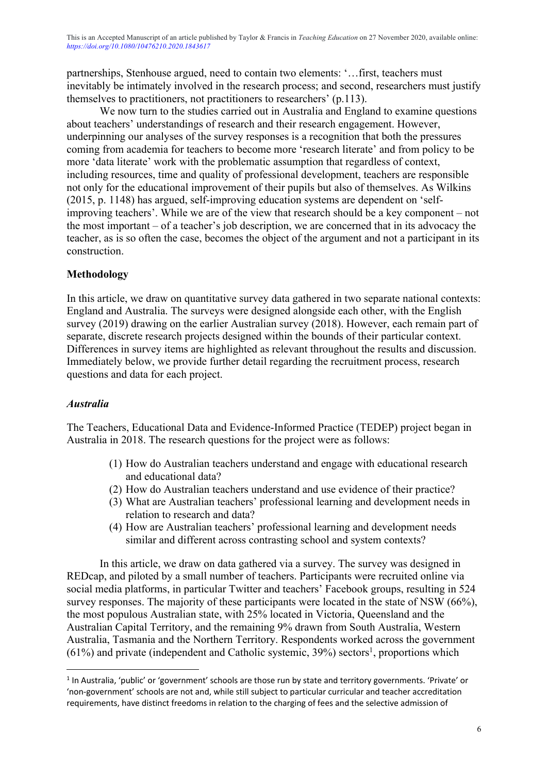partnerships, Stenhouse argued, need to contain two elements: '…first, teachers must inevitably be intimately involved in the research process; and second, researchers must justify themselves to practitioners, not practitioners to researchers' (p.113).

We now turn to the studies carried out in Australia and England to examine questions about teachers' understandings of research and their research engagement. However, underpinning our analyses of the survey responses is a recognition that both the pressures coming from academia for teachers to become more 'research literate' and from policy to be more 'data literate' work with the problematic assumption that regardless of context, including resources, time and quality of professional development, teachers are responsible not only for the educational improvement of their pupils but also of themselves. As Wilkins (2015, p. 1148) has argued, self-improving education systems are dependent on 'selfimproving teachers'. While we are of the view that research should be a key component – not the most important – of a teacher's job description, we are concerned that in its advocacy the teacher, as is so often the case, becomes the object of the argument and not a participant in its construction.

## **Methodology**

In this article, we draw on quantitative survey data gathered in two separate national contexts: England and Australia. The surveys were designed alongside each other, with the English survey (2019) drawing on the earlier Australian survey (2018). However, each remain part of separate, discrete research projects designed within the bounds of their particular context. Differences in survey items are highlighted as relevant throughout the results and discussion. Immediately below, we provide further detail regarding the recruitment process, research questions and data for each project.

## *Australia*

The Teachers, Educational Data and Evidence-Informed Practice (TEDEP) project began in Australia in 2018. The research questions for the project were as follows:

- (1) How do Australian teachers understand and engage with educational research and educational data?
- (2) How do Australian teachers understand and use evidence of their practice?
- (3) What are Australian teachers' professional learning and development needs in relation to research and data?
- (4) How are Australian teachers' professional learning and development needs similar and different across contrasting school and system contexts?

In this article, we draw on data gathered via a survey. The survey was designed in REDcap, and piloted by a small number of teachers. Participants were recruited online via social media platforms, in particular Twitter and teachers' Facebook groups, resulting in 524 survey responses. The majority of these participants were located in the state of NSW (66%), the most populous Australian state, with 25% located in Victoria, Queensland and the Australian Capital Territory, and the remaining 9% drawn from South Australia, Western Australia, Tasmania and the Northern Territory. Respondents worked across the government  $(61%)$  and private (independent and Catholic systemic, 39%) sectors<sup>1</sup>, proportions which

<sup>1</sup> In Australia, 'public' or 'government' schools are those run by state and territory governments. 'Private' or 'non-government' schools are not and, while still subject to particular curricular and teacher accreditation requirements, have distinct freedoms in relation to the charging of fees and the selective admission of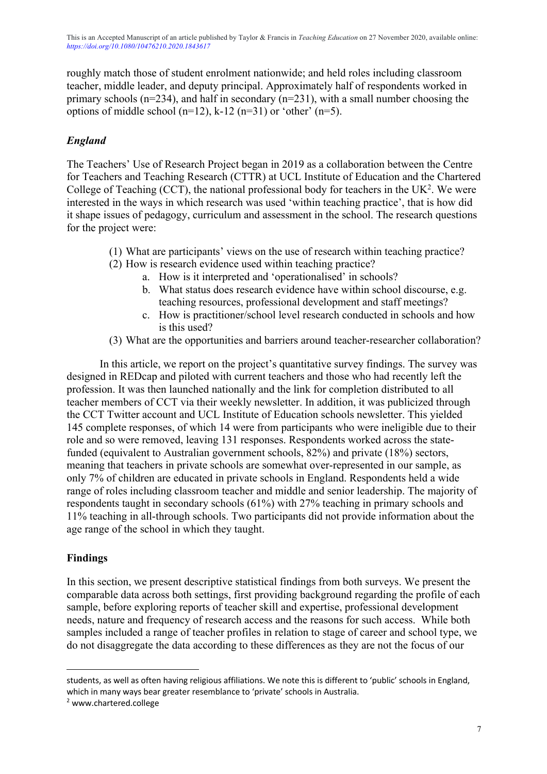roughly match those of student enrolment nationwide; and held roles including classroom teacher, middle leader, and deputy principal. Approximately half of respondents worked in primary schools ( $n=234$ ), and half in secondary ( $n=231$ ), with a small number choosing the options of middle school  $(n=12)$ , k-12  $(n=31)$  or 'other'  $(n=5)$ .

## *England*

The Teachers' Use of Research Project began in 2019 as a collaboration between the Centre for Teachers and Teaching Research (CTTR) at UCL Institute of Education and the Chartered College of Teaching (CCT), the national professional body for teachers in the UK<sup>2</sup>. We were interested in the ways in which research was used 'within teaching practice', that is how did it shape issues of pedagogy, curriculum and assessment in the school. The research questions for the project were:

- (1) What are participants' views on the use of research within teaching practice?
- (2) How is research evidence used within teaching practice?
	- a. How is it interpreted and 'operationalised' in schools?
	- b. What status does research evidence have within school discourse, e.g. teaching resources, professional development and staff meetings?
	- c. How is practitioner/school level research conducted in schools and how is this used?
- (3) What are the opportunities and barriers around teacher-researcher collaboration?

In this article, we report on the project's quantitative survey findings. The survey was designed in REDcap and piloted with current teachers and those who had recently left the profession. It was then launched nationally and the link for completion distributed to all teacher members of CCT via their weekly newsletter. In addition, it was publicized through the CCT Twitter account and UCL Institute of Education schools newsletter. This yielded 145 complete responses, of which 14 were from participants who were ineligible due to their role and so were removed, leaving 131 responses. Respondents worked across the statefunded (equivalent to Australian government schools, 82%) and private (18%) sectors, meaning that teachers in private schools are somewhat over-represented in our sample, as only 7% of children are educated in private schools in England. Respondents held a wide range of roles including classroom teacher and middle and senior leadership. The majority of respondents taught in secondary schools (61%) with 27% teaching in primary schools and 11% teaching in all-through schools. Two participants did not provide information about the age range of the school in which they taught.

## **Findings**

In this section, we present descriptive statistical findings from both surveys. We present the comparable data across both settings, first providing background regarding the profile of each sample, before exploring reports of teacher skill and expertise, professional development needs, nature and frequency of research access and the reasons for such access. While both samples included a range of teacher profiles in relation to stage of career and school type, we do not disaggregate the data according to these differences as they are not the focus of our

students, as well as often having religious affiliations. We note this is different to 'public' schools in England, which in many ways bear greater resemblance to 'private' schools in Australia.

<sup>2</sup> www.chartered.college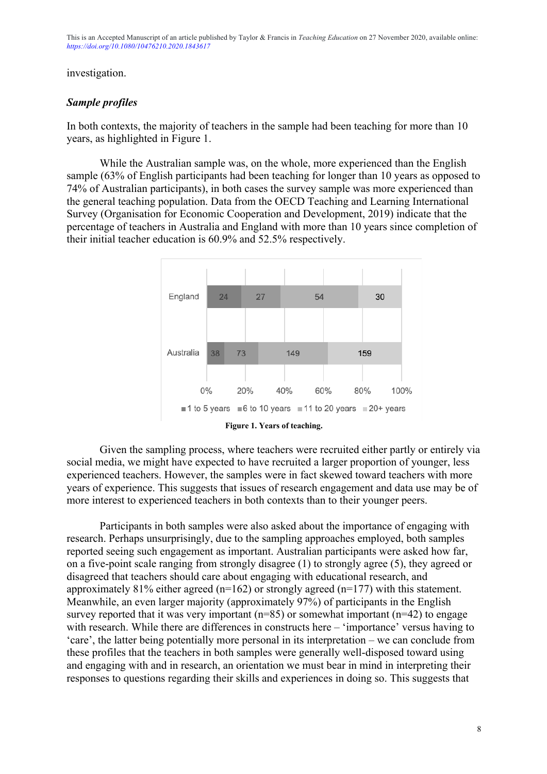investigation.

## *Sample profiles*

In both contexts, the majority of teachers in the sample had been teaching for more than 10 years, as highlighted in Figure 1.

While the Australian sample was, on the whole, more experienced than the English sample (63% of English participants had been teaching for longer than 10 years as opposed to 74% of Australian participants), in both cases the survey sample was more experienced than the general teaching population. Data from the OECD Teaching and Learning International Survey (Organisation for Economic Cooperation and Development, 2019) indicate that the percentage of teachers in Australia and England with more than 10 years since completion of their initial teacher education is 60.9% and 52.5% respectively.



Given the sampling process, where teachers were recruited either partly or entirely via social media, we might have expected to have recruited a larger proportion of younger, less experienced teachers. However, the samples were in fact skewed toward teachers with more years of experience. This suggests that issues of research engagement and data use may be of

more interest to experienced teachers in both contexts than to their younger peers.

Participants in both samples were also asked about the importance of engaging with research. Perhaps unsurprisingly, due to the sampling approaches employed, both samples reported seeing such engagement as important. Australian participants were asked how far, on a five-point scale ranging from strongly disagree (1) to strongly agree (5), they agreed or disagreed that teachers should care about engaging with educational research, and approximately 81% either agreed ( $n=162$ ) or strongly agreed ( $n=177$ ) with this statement. Meanwhile, an even larger majority (approximately 97%) of participants in the English survey reported that it was very important ( $n=85$ ) or somewhat important ( $n=42$ ) to engage with research. While there are differences in constructs here – 'importance' versus having to 'care', the latter being potentially more personal in its interpretation – we can conclude from these profiles that the teachers in both samples were generally well-disposed toward using and engaging with and in research, an orientation we must bear in mind in interpreting their responses to questions regarding their skills and experiences in doing so. This suggests that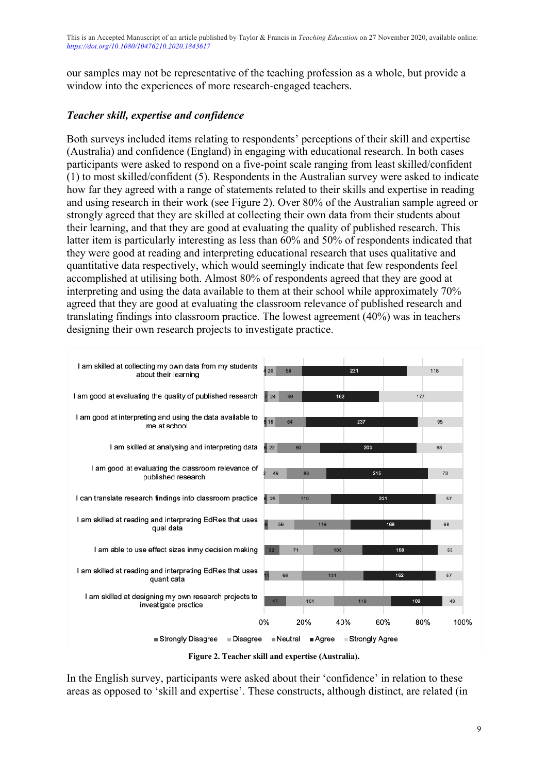our samples may not be representative of the teaching profession as a whole, but provide a window into the experiences of more research-engaged teachers.

## *Teacher skill, expertise and confidence*

Both surveys included items relating to respondents' perceptions of their skill and expertise (Australia) and confidence (England) in engaging with educational research. In both cases participants were asked to respond on a five-point scale ranging from least skilled/confident (1) to most skilled/confident (5). Respondents in the Australian survey were asked to indicate how far they agreed with a range of statements related to their skills and expertise in reading and using research in their work (see Figure 2). Over 80% of the Australian sample agreed or strongly agreed that they are skilled at collecting their own data from their students about their learning, and that they are good at evaluating the quality of published research. This latter item is particularly interesting as less than 60% and 50% of respondents indicated that they were good at reading and interpreting educational research that uses qualitative and quantitative data respectively, which would seemingly indicate that few respondents feel accomplished at utilising both. Almost 80% of respondents agreed that they are good at interpreting and using the data available to them at their school while approximately 70% agreed that they are good at evaluating the classroom relevance of published research and translating findings into classroom practice. The lowest agreement (40%) was in teachers designing their own research projects to investigate practice.



**Figure 2. Teacher skill and expertise (Australia).**

In the English survey, participants were asked about their 'confidence' in relation to these areas as opposed to 'skill and expertise'. These constructs, although distinct, are related (in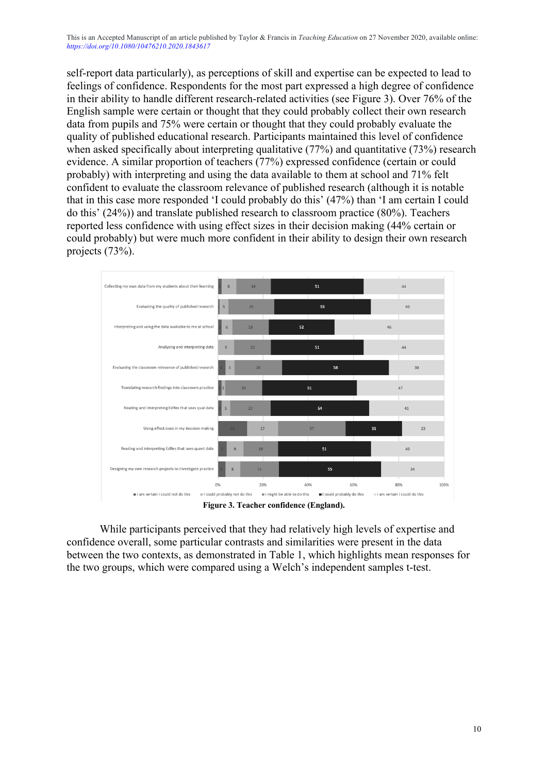self-report data particularly), as perceptions of skill and expertise can be expected to lead to feelings of confidence. Respondents for the most part expressed a high degree of confidence in their ability to handle different research-related activities (see Figure 3). Over 76% of the English sample were certain or thought that they could probably collect their own research data from pupils and 75% were certain or thought that they could probably evaluate the quality of published educational research. Participants maintained this level of confidence when asked specifically about interpreting qualitative (77%) and quantitative (73%) research evidence. A similar proportion of teachers (77%) expressed confidence (certain or could probably) with interpreting and using the data available to them at school and 71% felt confident to evaluate the classroom relevance of published research (although it is notable that in this case more responded 'I could probably do this' (47%) than 'I am certain I could do this' (24%)) and translate published research to classroom practice (80%). Teachers reported less confidence with using effect sizes in their decision making (44% certain or could probably) but were much more confident in their ability to design their own research projects (73%).



While participants perceived that they had relatively high levels of expertise and confidence overall, some particular contrasts and similarities were present in the data between the two contexts, as demonstrated in Table 1, which highlights mean responses for the two groups, which were compared using a Welch's independent samples t-test.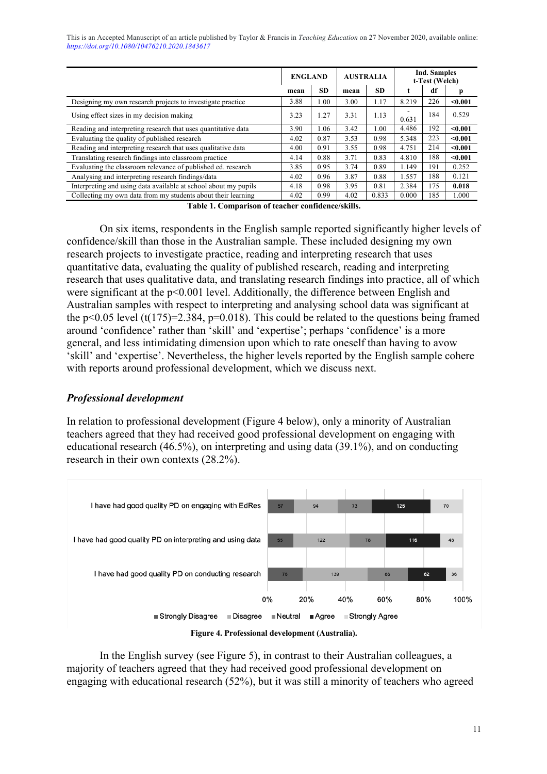|                                                                 | <b>ENGLAND</b> |           | <b>AUSTRALIA</b> |           | <b>Ind. Samples</b><br>t-Test (Welch) |     |         |
|-----------------------------------------------------------------|----------------|-----------|------------------|-----------|---------------------------------------|-----|---------|
|                                                                 | mean           | <b>SD</b> | mean             | <b>SD</b> | t                                     | df  |         |
| Designing my own research projects to investigate practice      | 3.88           | 1.00      | 3.00             | 1.17      | 8.219                                 | 226 | < 0.001 |
| Using effect sizes in my decision making                        | 3.23           | 1.27      | 3.31             | 1.13      | ۰<br>0.631                            | 184 | 0.529   |
| Reading and interpreting research that uses quantitative data   | 3.90           | 1.06      | 3.42             | 1.00      | 4.486                                 | 192 | < 0.001 |
| Evaluating the quality of published research                    | 4.02           | 0.87      | 3.53             | 0.98      | 5.348                                 | 223 | < 0.001 |
| Reading and interpreting research that uses qualitative data    | 4.00           | 0.91      | 3.55             | 0.98      | 4.751                                 | 214 | < 0.001 |
| Translating research findings into classroom practice           | 4.14           | 0.88      | 3.71             | 0.83      | 4.810                                 | 188 | $0.001$ |
| Evaluating the classroom relevance of published ed. research    | 3.85           | 0.95      | 3.74             | 0.89      | 1.149                                 | 191 | 0.252   |
| Analysing and interpreting research findings/data               | 4.02           | 0.96      | 3.87             | 0.88      | 1.557                                 | 188 | 0.121   |
| Interpreting and using data available at school about my pupils | 4.18           | 0.98      | 3.95             | 0.81      | 2.384                                 | 175 | 0.018   |
| Collecting my own data from my students about their learning    | 4.02           | 0.99      | 4.02             | 0.833     | 0.000                                 | 185 | 1.000   |

**Table 1. Comparison of teacher confidence/skills.**

On six items, respondents in the English sample reported significantly higher levels of confidence/skill than those in the Australian sample. These included designing my own research projects to investigate practice, reading and interpreting research that uses quantitative data, evaluating the quality of published research, reading and interpreting research that uses qualitative data, and translating research findings into practice, all of which were significant at the p<0.001 level. Additionally, the difference between English and Australian samples with respect to interpreting and analysing school data was significant at the p<0.05 level (t(175)=2.384, p=0.018). This could be related to the questions being framed around 'confidence' rather than 'skill' and 'expertise'; perhaps 'confidence' is a more general, and less intimidating dimension upon which to rate oneself than having to avow 'skill' and 'expertise'. Nevertheless, the higher levels reported by the English sample cohere with reports around professional development, which we discuss next.

#### *Professional development*

In relation to professional development (Figure 4 below), only a minority of Australian teachers agreed that they had received good professional development on engaging with educational research (46.5%), on interpreting and using data (39.1%), and on conducting research in their own contexts (28.2%).



**Figure 4. Professional development (Australia).**

In the English survey (see Figure 5), in contrast to their Australian colleagues, a majority of teachers agreed that they had received good professional development on engaging with educational research (52%), but it was still a minority of teachers who agreed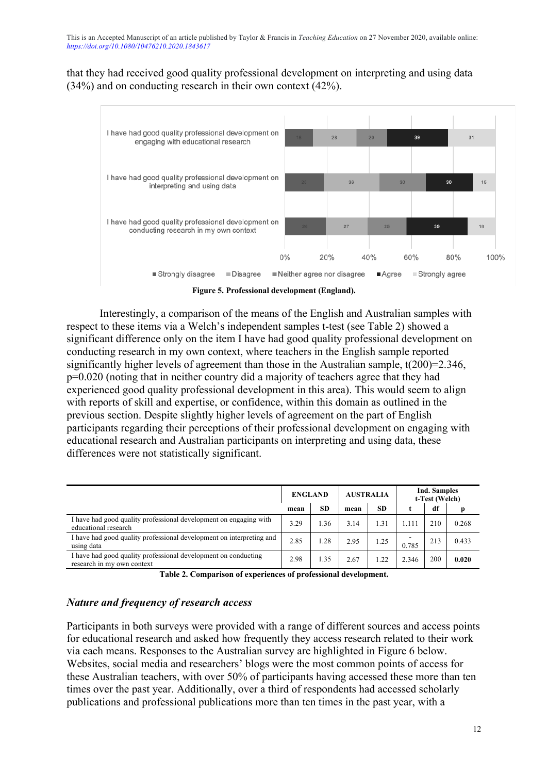that they had received good quality professional development on interpreting and using data (34%) and on conducting research in their own context (42%).



**Figure 5. Professional development (England).**

Interestingly, a comparison of the means of the English and Australian samples with respect to these items via a Welch's independent samples t-test (see Table 2) showed a significant difference only on the item I have had good quality professional development on conducting research in my own context, where teachers in the English sample reported significantly higher levels of agreement than those in the Australian sample, t(200)=2.346, p=0.020 (noting that in neither country did a majority of teachers agree that they had experienced good quality professional development in this area). This would seem to align with reports of skill and expertise, or confidence, within this domain as outlined in the previous section. Despite slightly higher levels of agreement on the part of English participants regarding their perceptions of their professional development on engaging with educational research and Australian participants on interpreting and using data, these differences were not statistically significant.

|                                                                                              | <b>ENGLAND</b> |           | <b>AUSTRALIA</b> |           | Ind. Samples<br>t-Test (Welch) |     |       |
|----------------------------------------------------------------------------------------------|----------------|-----------|------------------|-----------|--------------------------------|-----|-------|
|                                                                                              | mean           | <b>SD</b> | mean             | <b>SD</b> |                                | df  |       |
| I have had good quality professional development on engaging with<br>educational research    | 3.29           | 1.36      | 3.14             | 1.31      | 1.111                          | 210 | 0.268 |
| I have had good quality professional development on interpreting and<br>using data           | 2.85           | 1.28      | 2.95             | 1.25      | 0.785                          | 213 | 0.433 |
| I have had good quality professional development on conducting<br>research in my own context | 2.98           | 1.35      | 2.67             | .22       | 2.346                          | 200 | 0.020 |

**Table 2. Comparison of experiences of professional development.**

### *Nature and frequency of research access*

Participants in both surveys were provided with a range of different sources and access points for educational research and asked how frequently they access research related to their work via each means. Responses to the Australian survey are highlighted in Figure 6 below. Websites, social media and researchers' blogs were the most common points of access for these Australian teachers, with over 50% of participants having accessed these more than ten times over the past year. Additionally, over a third of respondents had accessed scholarly publications and professional publications more than ten times in the past year, with a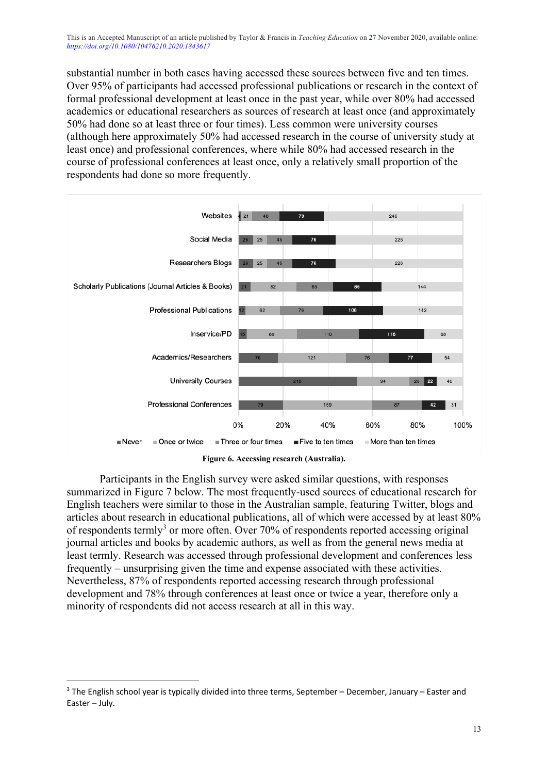substantial number in both cases having accessed these sources between five and ten times. Over 95% of participants had accessed professional publications or research in the context of formal professional development at least once in the past year, while over 80% had accessed academics or educational researchers as sources of research at least once (and approximately 50% had done so at least three or four times). Less common were university courses (although here approximately 50% had accessed research in the course of university study at least once) and professional conferences, where while 80% had accessed research in the course of professional conferences at least once, only a relatively small proportion of the respondents had done so more frequently.



**Figure 6. Accessing research (Australia).**

Participants in the English survey were asked similar questions, with responses summarized in Figure 7 below. The most frequently-used sources of educational research for English teachers were similar to those in the Australian sample, featuring Twitter, blogs and articles about research in educational publications, all of which were accessed by at least 80% of respondents termly<sup>3</sup> or more often. Over 70% of respondents reported accessing original journal articles and books by academic authors, as well as from the general news media at least termly. Research was accessed through professional development and conferences less frequently – unsurprising given the time and expense associated with these activities. Nevertheless, 87% of respondents reported accessing research through professional development and 78% through conferences at least once or twice a year, therefore only a minority of respondents did not access research at all in this way.

 $3$  The English school year is typically divided into three terms, September – December, January – Easter and Easter – July.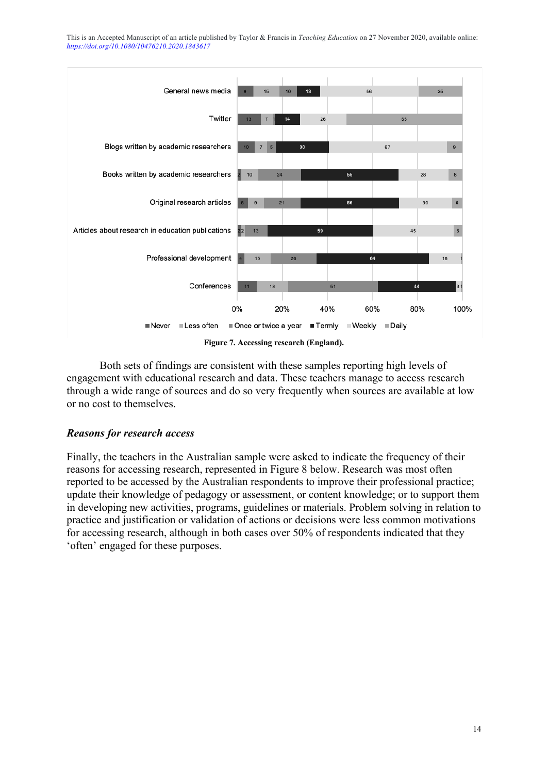

**Figure 7. Accessing research (England).**

Both sets of findings are consistent with these samples reporting high levels of engagement with educational research and data. These teachers manage to access research through a wide range of sources and do so very frequently when sources are available at low or no cost to themselves.

### *Reasons for research access*

Finally, the teachers in the Australian sample were asked to indicate the frequency of their reasons for accessing research, represented in Figure 8 below. Research was most often reported to be accessed by the Australian respondents to improve their professional practice; update their knowledge of pedagogy or assessment, or content knowledge; or to support them in developing new activities, programs, guidelines or materials. Problem solving in relation to practice and justification or validation of actions or decisions were less common motivations for accessing research, although in both cases over 50% of respondents indicated that they 'often' engaged for these purposes.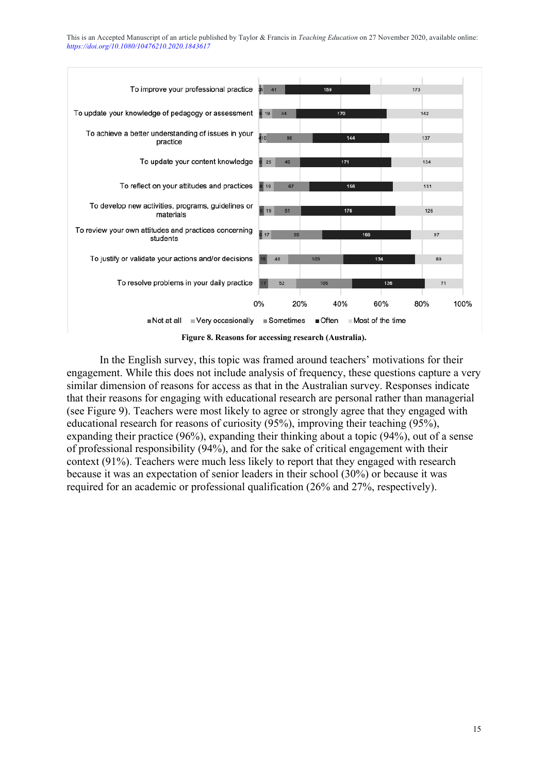

In the English survey, this topic was framed around teachers' motivations for their engagement. While this does not include analysis of frequency, these questions capture a very similar dimension of reasons for access as that in the Australian survey. Responses indicate that their reasons for engaging with educational research are personal rather than managerial (see Figure 9). Teachers were most likely to agree or strongly agree that they engaged with educational research for reasons of curiosity (95%), improving their teaching (95%), expanding their practice (96%), expanding their thinking about a topic (94%), out of a sense of professional responsibility (94%), and for the sake of critical engagement with their context (91%). Teachers were much less likely to report that they engaged with research because it was an expectation of senior leaders in their school (30%) or because it was required for an academic or professional qualification (26% and 27%, respectively).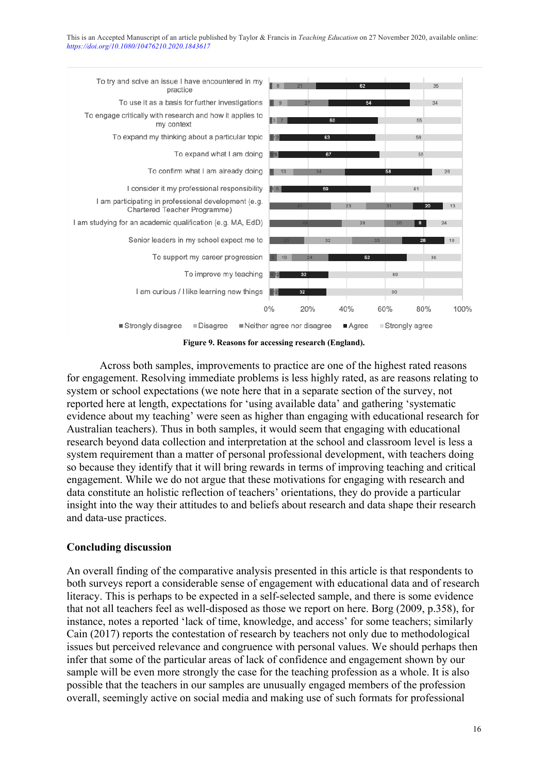

**Figure 9. Reasons for accessing research (England).**

Across both samples, improvements to practice are one of the highest rated reasons for engagement. Resolving immediate problems is less highly rated, as are reasons relating to system or school expectations (we note here that in a separate section of the survey, not reported here at length, expectations for 'using available data' and gathering 'systematic evidence about my teaching' were seen as higher than engaging with educational research for Australian teachers). Thus in both samples, it would seem that engaging with educational research beyond data collection and interpretation at the school and classroom level is less a system requirement than a matter of personal professional development, with teachers doing so because they identify that it will bring rewards in terms of improving teaching and critical engagement. While we do not argue that these motivations for engaging with research and data constitute an holistic reflection of teachers' orientations, they do provide a particular insight into the way their attitudes to and beliefs about research and data shape their research and data-use practices.

### **Concluding discussion**

An overall finding of the comparative analysis presented in this article is that respondents to both surveys report a considerable sense of engagement with educational data and of research literacy. This is perhaps to be expected in a self-selected sample, and there is some evidence that not all teachers feel as well-disposed as those we report on here. Borg (2009, p.358), for instance, notes a reported 'lack of time, knowledge, and access' for some teachers; similarly Cain (2017) reports the contestation of research by teachers not only due to methodological issues but perceived relevance and congruence with personal values. We should perhaps then infer that some of the particular areas of lack of confidence and engagement shown by our sample will be even more strongly the case for the teaching profession as a whole. It is also possible that the teachers in our samples are unusually engaged members of the profession overall, seemingly active on social media and making use of such formats for professional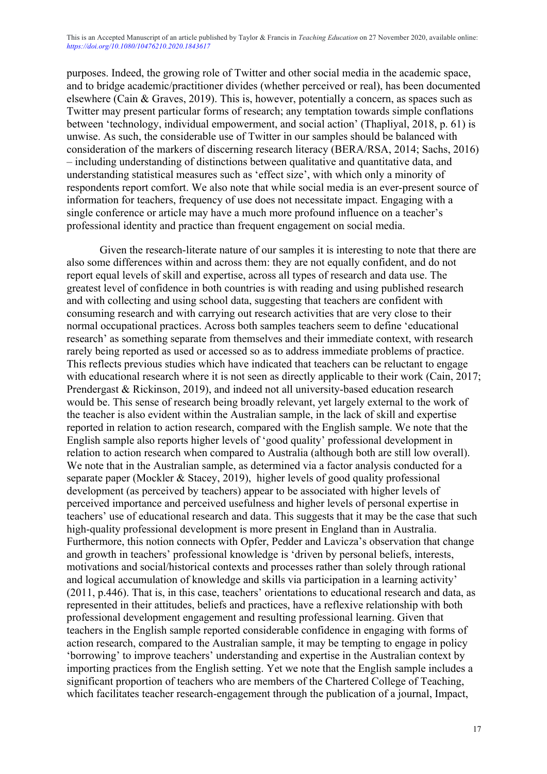purposes. Indeed, the growing role of Twitter and other social media in the academic space, and to bridge academic/practitioner divides (whether perceived or real), has been documented elsewhere (Cain & Graves, 2019). This is, however, potentially a concern, as spaces such as Twitter may present particular forms of research; any temptation towards simple conflations between 'technology, individual empowerment, and social action' (Thapliyal, 2018, p. 61) is unwise. As such, the considerable use of Twitter in our samples should be balanced with consideration of the markers of discerning research literacy (BERA/RSA, 2014; Sachs, 2016) – including understanding of distinctions between qualitative and quantitative data, and understanding statistical measures such as 'effect size', with which only a minority of respondents report comfort. We also note that while social media is an ever-present source of information for teachers, frequency of use does not necessitate impact. Engaging with a single conference or article may have a much more profound influence on a teacher's professional identity and practice than frequent engagement on social media.

Given the research-literate nature of our samples it is interesting to note that there are also some differences within and across them: they are not equally confident, and do not report equal levels of skill and expertise, across all types of research and data use. The greatest level of confidence in both countries is with reading and using published research and with collecting and using school data, suggesting that teachers are confident with consuming research and with carrying out research activities that are very close to their normal occupational practices. Across both samples teachers seem to define 'educational research' as something separate from themselves and their immediate context, with research rarely being reported as used or accessed so as to address immediate problems of practice. This reflects previous studies which have indicated that teachers can be reluctant to engage with educational research where it is not seen as directly applicable to their work (Cain, 2017; Prendergast & Rickinson, 2019), and indeed not all university-based education research would be. This sense of research being broadly relevant, yet largely external to the work of the teacher is also evident within the Australian sample, in the lack of skill and expertise reported in relation to action research, compared with the English sample. We note that the English sample also reports higher levels of 'good quality' professional development in relation to action research when compared to Australia (although both are still low overall). We note that in the Australian sample, as determined via a factor analysis conducted for a separate paper (Mockler & Stacey, 2019), higher levels of good quality professional development (as perceived by teachers) appear to be associated with higher levels of perceived importance and perceived usefulness and higher levels of personal expertise in teachers' use of educational research and data. This suggests that it may be the case that such high-quality professional development is more present in England than in Australia. Furthermore, this notion connects with Opfer, Pedder and Lavicza's observation that change and growth in teachers' professional knowledge is 'driven by personal beliefs, interests, motivations and social/historical contexts and processes rather than solely through rational and logical accumulation of knowledge and skills via participation in a learning activity' (2011, p.446). That is, in this case, teachers' orientations to educational research and data, as represented in their attitudes, beliefs and practices, have a reflexive relationship with both professional development engagement and resulting professional learning. Given that teachers in the English sample reported considerable confidence in engaging with forms of action research, compared to the Australian sample, it may be tempting to engage in policy 'borrowing' to improve teachers' understanding and expertise in the Australian context by importing practices from the English setting. Yet we note that the English sample includes a significant proportion of teachers who are members of the Chartered College of Teaching, which facilitates teacher research-engagement through the publication of a journal, Impact,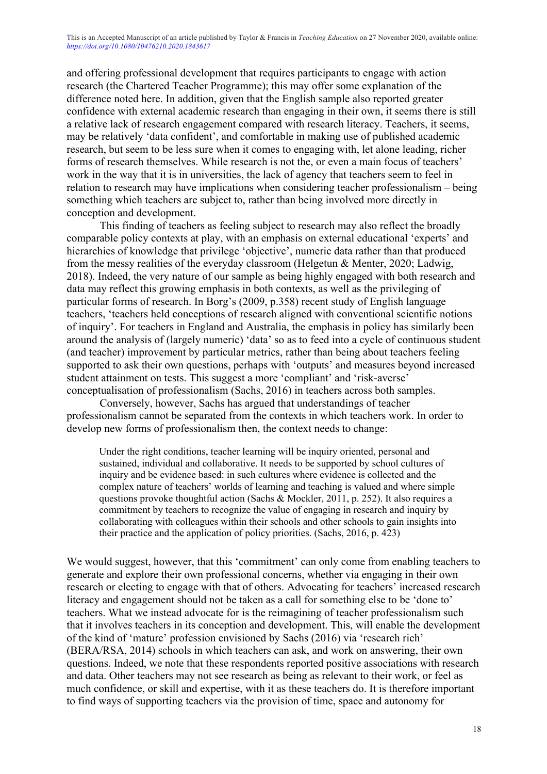and offering professional development that requires participants to engage with action research (the Chartered Teacher Programme); this may offer some explanation of the difference noted here. In addition, given that the English sample also reported greater confidence with external academic research than engaging in their own, it seems there is still a relative lack of research engagement compared with research literacy. Teachers, it seems, may be relatively 'data confident', and comfortable in making use of published academic research, but seem to be less sure when it comes to engaging with, let alone leading, richer forms of research themselves. While research is not the, or even a main focus of teachers' work in the way that it is in universities, the lack of agency that teachers seem to feel in relation to research may have implications when considering teacher professionalism – being something which teachers are subject to, rather than being involved more directly in conception and development.

This finding of teachers as feeling subject to research may also reflect the broadly comparable policy contexts at play, with an emphasis on external educational 'experts' and hierarchies of knowledge that privilege 'objective', numeric data rather than that produced from the messy realities of the everyday classroom (Helgetun & Menter, 2020; Ladwig, 2018). Indeed, the very nature of our sample as being highly engaged with both research and data may reflect this growing emphasis in both contexts, as well as the privileging of particular forms of research. In Borg's (2009, p.358) recent study of English language teachers, 'teachers held conceptions of research aligned with conventional scientific notions of inquiry'. For teachers in England and Australia, the emphasis in policy has similarly been around the analysis of (largely numeric) 'data' so as to feed into a cycle of continuous student (and teacher) improvement by particular metrics, rather than being about teachers feeling supported to ask their own questions, perhaps with 'outputs' and measures beyond increased student attainment on tests. This suggest a more 'compliant' and 'risk-averse' conceptualisation of professionalism (Sachs, 2016) in teachers across both samples.

Conversely, however, Sachs has argued that understandings of teacher professionalism cannot be separated from the contexts in which teachers work. In order to develop new forms of professionalism then, the context needs to change:

Under the right conditions, teacher learning will be inquiry oriented, personal and sustained, individual and collaborative. It needs to be supported by school cultures of inquiry and be evidence based: in such cultures where evidence is collected and the complex nature of teachers' worlds of learning and teaching is valued and where simple questions provoke thoughtful action (Sachs & Mockler, 2011, p. 252). It also requires a commitment by teachers to recognize the value of engaging in research and inquiry by collaborating with colleagues within their schools and other schools to gain insights into their practice and the application of policy priorities. (Sachs, 2016, p. 423)

We would suggest, however, that this 'commitment' can only come from enabling teachers to generate and explore their own professional concerns, whether via engaging in their own research or electing to engage with that of others. Advocating for teachers' increased research literacy and engagement should not be taken as a call for something else to be 'done to' teachers. What we instead advocate for is the reimagining of teacher professionalism such that it involves teachers in its conception and development. This, will enable the development of the kind of 'mature' profession envisioned by Sachs (2016) via 'research rich' (BERA/RSA, 2014) schools in which teachers can ask, and work on answering, their own questions. Indeed, we note that these respondents reported positive associations with research and data. Other teachers may not see research as being as relevant to their work, or feel as much confidence, or skill and expertise, with it as these teachers do. It is therefore important to find ways of supporting teachers via the provision of time, space and autonomy for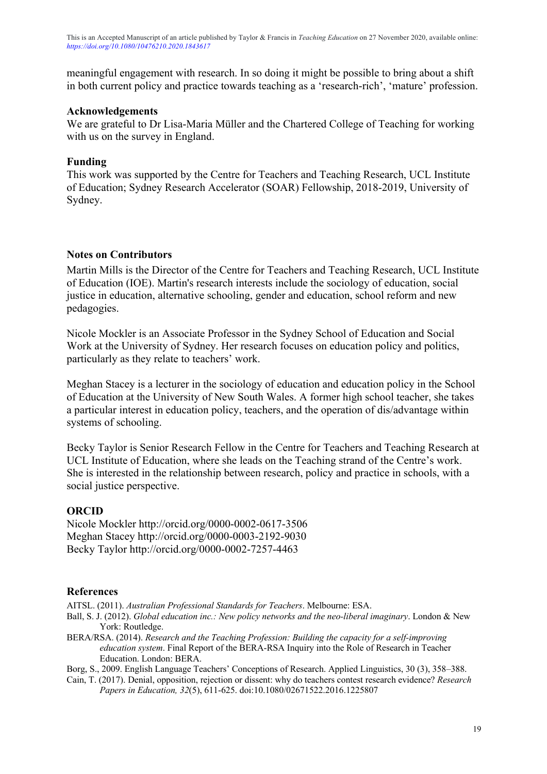meaningful engagement with research. In so doing it might be possible to bring about a shift in both current policy and practice towards teaching as a 'research-rich', 'mature' profession.

#### **Acknowledgements**

We are grateful to Dr Lisa-Maria Müller and the Chartered College of Teaching for working with us on the survey in England.

#### **Funding**

This work was supported by the Centre for Teachers and Teaching Research, UCL Institute of Education; Sydney Research Accelerator (SOAR) Fellowship, 2018-2019, University of Sydney.

#### **Notes on Contributors**

Martin Mills is the Director of the Centre for Teachers and Teaching Research, UCL Institute of Education (IOE). Martin's research interests include the sociology of education, social justice in education, alternative schooling, gender and education, school reform and new pedagogies.

Nicole Mockler is an Associate Professor in the Sydney School of Education and Social Work at the University of Sydney. Her research focuses on education policy and politics, particularly as they relate to teachers' work.

Meghan Stacey is a lecturer in the sociology of education and education policy in the School of Education at the University of New South Wales. A former high school teacher, she takes a particular interest in education policy, teachers, and the operation of dis/advantage within systems of schooling.

Becky Taylor is Senior Research Fellow in the Centre for Teachers and Teaching Research at UCL Institute of Education, where she leads on the Teaching strand of the Centre's work. She is interested in the relationship between research, policy and practice in schools, with a social justice perspective.

#### **ORCID**

Nicole Mockler http://orcid.org/0000-0002-0617-3506 Meghan Stacey http://orcid.org/0000-0003-2192-9030 Becky Taylor http://orcid.org/0000-0002-7257-4463

#### **References**

AITSL. (2011). *Australian Professional Standards for Teachers*. Melbourne: ESA.

- Ball, S. J. (2012). *Global education inc.: New policy networks and the neo-liberal imaginary*. London & New York: Routledge.
- BERA/RSA. (2014). *Research and the Teaching Profession: Building the capacity for a self-improving education system*. Final Report of the BERA-RSA Inquiry into the Role of Research in Teacher Education. London: BERA.

Borg, S., 2009. English Language Teachers' Conceptions of Research. Applied Linguistics, 30 (3), 358–388.

Cain, T. (2017). Denial, opposition, rejection or dissent: why do teachers contest research evidence? *Research Papers in Education, 32*(5), 611-625. doi:10.1080/02671522.2016.1225807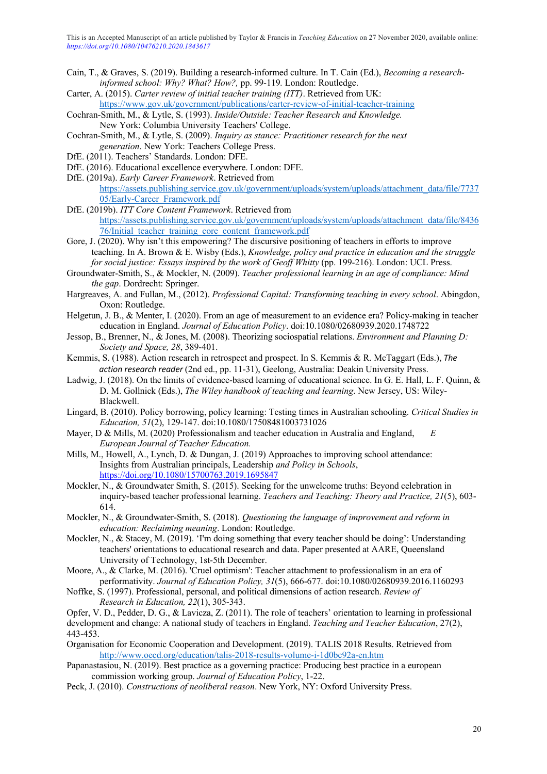- Cain, T., & Graves, S. (2019). Building a research-informed culture. In T. Cain (Ed.), *Becoming a researchinformed school: Why? What? How?,* pp. 99-119*.* London: Routledge.
- Carter, A. (2015). *Carter review of initial teacher training (ITT)*. Retrieved from UK: https://www.gov.uk/government/publications/carter-review-of-initial-teacher-training
- Cochran-Smith, M., & Lytle, S. (1993). *Inside/Outside: Teacher Research and Knowledge.* New York: Columbia University Teachers' College.
- Cochran-Smith, M., & Lytle, S. (2009). *Inquiry as stance: Practitioner research for the next generation*. New York: Teachers College Press.
- DfE. (2011). Teachers' Standards. London: DFE.
- DfE. (2016). Educational excellence everywhere. London: DFE.
- DfE. (2019a). *Early Career Framework*. Retrieved from
- https://assets.publishing.service.gov.uk/government/uploads/system/uploads/attachment\_data/file/7737 05/Early-Career\_Framework.pdf
- DfE. (2019b). *ITT Core Content Framework*. Retrieved from https://assets.publishing.service.gov.uk/government/uploads/system/uploads/attachment\_data/file/8436 76/Initial\_teacher\_training\_core\_content\_framework.pdf
- Gore, J. (2020). Why isn't this empowering? The discursive positioning of teachers in efforts to improve teaching. In A. Brown & E. Wisby (Eds.), *Knowledge, policy and practice in education and the struggle for social justice: Essays inspired by the work of Geoff Whitty* (pp. 199-216). London: UCL Press.
- Groundwater-Smith, S., & Mockler, N. (2009). *Teacher professional learning in an age of compliance: Mind the gap*. Dordrecht: Springer.
- Hargreaves, A. and Fullan, M., (2012). *Professional Capital: Transforming teaching in every school*. Abingdon, Oxon: Routledge.
- Helgetun, J. B., & Menter, I. (2020). From an age of measurement to an evidence era? Policy-making in teacher education in England. *Journal of Education Policy*. doi:10.1080/02680939.2020.1748722
- Jessop, B., Brenner, N., & Jones, M. (2008). Theorizing sociospatial relations. *Environment and Planning D: Society and Space, 28*, 389-401.
- Kemmis, S. (1988). Action research in retrospect and prospect. In S. Kemmis & R. McTaggart (Eds.), *The action research reader* (2nd ed., pp. 11-31), Geelong, Australia: Deakin University Press.
- Ladwig, J. (2018). On the limits of evidence-based learning of educational science. In G. E. Hall, L. F. Quinn, & D. M. Gollnick (Eds.), *The Wiley handbook of teaching and learning*. New Jersey, US: Wiley-Blackwell.
- Lingard, B. (2010). Policy borrowing, policy learning: Testing times in Australian schooling. *Critical Studies in Education, 51*(2), 129-147. doi:10.1080/17508481003731026
- Mayer, D & Mills, M. (2020) Professionalism and teacher education in Australia and England, *E European Journal of Teacher Education.*
- Mills, M., Howell, A., Lynch, D. & Dungan, J. (2019) Approaches to improving school attendance: Insights from Australian principals, Leadership *and Policy in Schools*, https://doi.org/10.1080/15700763.2019.1695847
- Mockler, N., & Groundwater Smith, S. (2015). Seeking for the unwelcome truths: Beyond celebration in inquiry-based teacher professional learning. *Teachers and Teaching: Theory and Practice, 21*(5), 603- 614.
- Mockler, N., & Groundwater-Smith, S. (2018). *Questioning the language of improvement and reform in education: Reclaiming meaning*. London: Routledge.
- Mockler, N., & Stacey, M. (2019). 'I'm doing something that every teacher should be doing': Understanding teachers' orientations to educational research and data. Paper presented at AARE, Queensland University of Technology, 1st-5th December.
- Moore, A., & Clarke, M. (2016). 'Cruel optimism': Teacher attachment to professionalism in an era of performativity. *Journal of Education Policy, 31*(5), 666-677. doi:10.1080/02680939.2016.1160293
- Noffke, S. (1997). Professional, personal, and political dimensions of action research. *Review of Research in Education, 22*(1), 305-343.
- Opfer, V. D., Pedder, D. G., & Lavicza, Z. (2011). The role of teachers' orientation to learning in professional
- development and change: A national study of teachers in England. *Teaching and Teacher Education*, 27(2), 443-453.
- Organisation for Economic Cooperation and Development. (2019). TALIS 2018 Results. Retrieved from http://www.oecd.org/education/talis-2018-results-volume-i-1d0bc92a-en.htm

Papanastasiou, N. (2019). Best practice as a governing practice: Producing best practice in a european commission working group. *Journal of Education Policy*, 1-22.

Peck, J. (2010). *Constructions of neoliberal reason*. New York, NY: Oxford University Press.